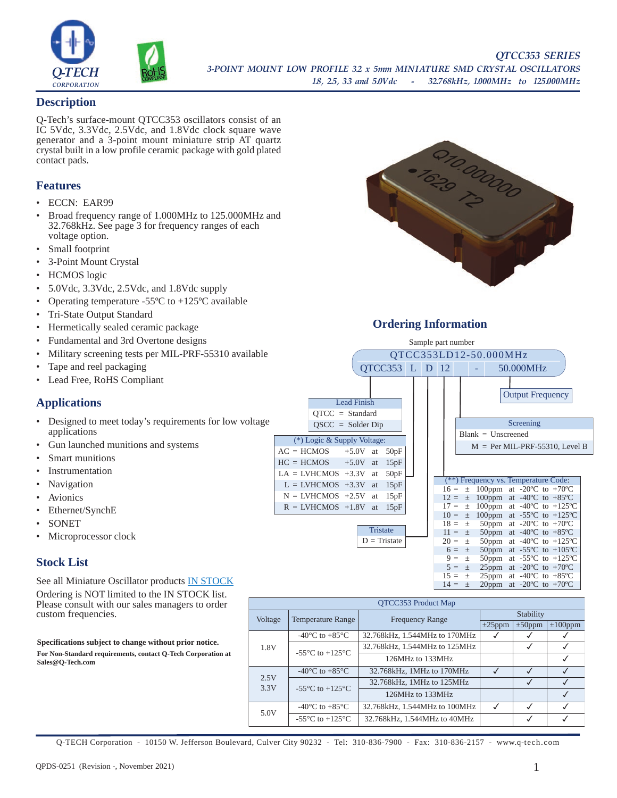

## **Description**

Q-Tech's surface-mount QTCC353 oscillators consist of an IC 5Vdc, 3.3Vdc, 2.5Vdc, and 1.8Vdc clock square wave generator and a 3-point mount miniature strip AT quartz crystal built in a low profile ceramic package with gold plated contact pads.

## **Features**

- ECCN: EAR99
- Broad frequency range of 1.000MHz to 125.000MHz and 32.768kHz. See page 3 for frequency ranges of each voltage option.
- Small footprint
- 3-Point Mount Crystal
- HCMOS logic
- 5.0Vdc, 3.3Vdc, 2.5Vdc, and 1.8Vdc supply
- Operating temperature -55 $\degree$ C to +125 $\degree$ C available
- Tri-State Output Standard
- Hermetically sealed ceramic package
- Fundamental and 3rd Overtone designs
- Military screening tests per MIL-PRF-55310 available
- Tape and reel packaging
- Lead Free, RoHS Compliant

# **Applications**

- Designed to meet today's requirements for low voltage applications
- Gun launched munitions and systems
- Smart munitions
- **Instrumentation**
- **Navigation**
- **Avionics**
- Ethernet/SynchE
- SONET
- Microprocessor clock

## **Stock List**

[See all Miniature Oscillator products IN STOCK](https://q-tech.com/wp-content/uploads/MINIATURE-OSCILLATORS-IN-STOCK.pdf) 

Ordering is NOT limited to the IN STOCK list. Please consult with our sales managers to order custom frequencies.

**Specifications subject to change without prior notice.**

**For Non-Standard requirements, contact Q-Tech Corporation at Sales@Q-Tech.com**



# **Ordering Information**



| OTCC353 Product Map |                                      |                               |              |              |               |  |
|---------------------|--------------------------------------|-------------------------------|--------------|--------------|---------------|--|
| Voltage             | <b>Temperature Range</b>             | <b>Frequency Range</b>        | Stability    |              |               |  |
|                     |                                      |                               | $\pm 25$ ppm | $\pm 50$ ppm | $\pm 100$ ppm |  |
| 1.8V                | -40 $^{\circ}$ C to +85 $^{\circ}$ C | 32.768kHz, 1.544MHz to 170MHz |              |              |               |  |
|                     | $-55^{\circ}$ C to $+125^{\circ}$ C  | 32.768kHz, 1.544MHz to 125MHz |              | √            | √             |  |
|                     |                                      | 126MHz to 133MHz              |              |              | √             |  |
| 2.5V<br>3.3V        | -40 $^{\circ}$ C to +85 $^{\circ}$ C | 32.768kHz, 1MHz to 170MHz     |              | ✓            | J             |  |
|                     | $-55^{\circ}$ C to $+125^{\circ}$ C  | 32.768kHz, 1MHz to 125MHz     |              | √            | √             |  |
|                     |                                      | 126MHz to 133MHz              |              |              | $\checkmark$  |  |
| 5.0V                | $-40^{\circ}$ C to $+85^{\circ}$ C   | 32.768kHz, 1.544MHz to 100MHz | √            | ✓            | $\checkmark$  |  |
|                     | $-55^{\circ}$ C to $+125^{\circ}$ C  | 32.768kHz, 1.544MHz to 40MHz  |              |              |               |  |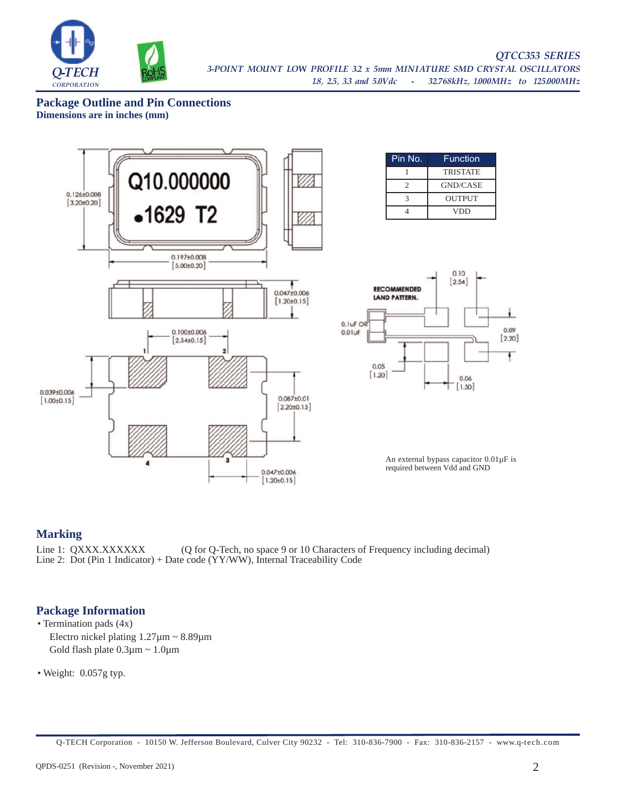

**Package Outline and Pin Connections Dimensions are in inches (mm)**



## **Marking**

Line 1: QXXX.XXXXXX (Q for Q-Tech, no space 9 or 10 Characters of Frequency including decimal) Line 2: Dot (Pin 1 Indicator) + Date code (YY/WW), Internal Traceability Code

## **Package Information**

• Termination pads (4x) Electro nickel plating 1.27µm ~ 8.89µm Gold flash plate  $0.3\mu$ m ~ 1.0 $\mu$ m

• Weight: 0.057g typ.

Q-TECH Corporation - 10150 W. Jefferson Boulevard, Culver City 90232 - Tel: 310-836-7900 - Fax: 310-836-2157 - www.q-tech.com

Ł

0.09

 $[2.20]$ 

F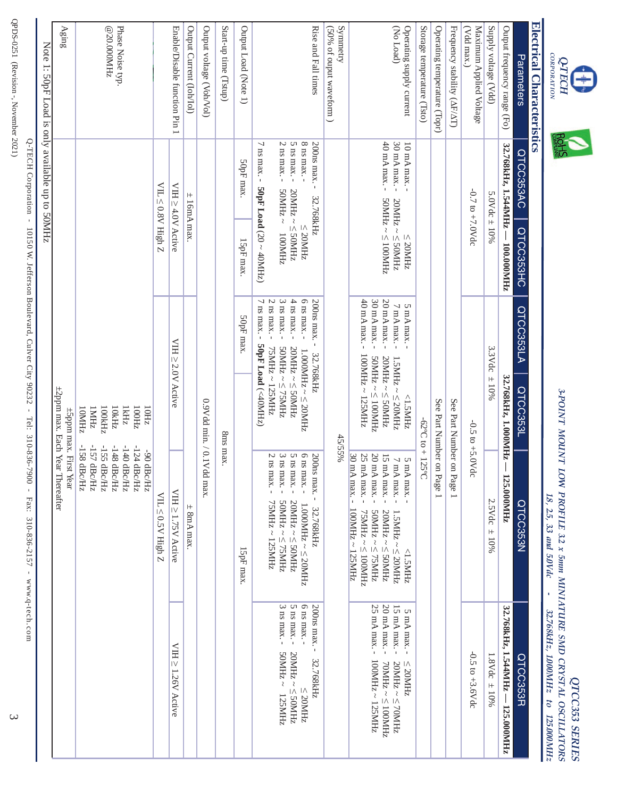ê



# Electrical Characteristics **Electrical Characteristics**

|                                                                                                                                                                                                                |                                                                                                                                                                                                                           |                                                                                                                                                                                                                                                                                                                                                                                                                                        | 1: 50pF Load is only available up to 50MHz                                                                                                                                                                                                                            | Note                                                        |
|----------------------------------------------------------------------------------------------------------------------------------------------------------------------------------------------------------------|---------------------------------------------------------------------------------------------------------------------------------------------------------------------------------------------------------------------------|----------------------------------------------------------------------------------------------------------------------------------------------------------------------------------------------------------------------------------------------------------------------------------------------------------------------------------------------------------------------------------------------------------------------------------------|-----------------------------------------------------------------------------------------------------------------------------------------------------------------------------------------------------------------------------------------------------------------------|-------------------------------------------------------------|
|                                                                                                                                                                                                                | ±2ppm max. Each Year Thereafter<br>±5ppm max. First Year                                                                                                                                                                  |                                                                                                                                                                                                                                                                                                                                                                                                                                        |                                                                                                                                                                                                                                                                       | Aging                                                       |
|                                                                                                                                                                                                                | -158 dBc/Hz<br>-157 dBc/Hz<br>-155 dBc/Hz<br>-148 dBc/Hz<br>-140 dBc/Hz<br>-124 dBc/Hz<br>-90 dBc/Hz                                                                                                                      | 10MHz<br>IMHz<br>100kHz<br><b>IkHz</b><br>10kHz<br>100Hz<br>10Hz                                                                                                                                                                                                                                                                                                                                                                       |                                                                                                                                                                                                                                                                       | Phase Noise typ.<br>@20.000MHz                              |
|                                                                                                                                                                                                                | VIL < 0.5V High Z                                                                                                                                                                                                         |                                                                                                                                                                                                                                                                                                                                                                                                                                        | $\text{VIL} \leq 0.8 \text{V}$ High Z                                                                                                                                                                                                                                 |                                                             |
| VIH ≥ 1.26V Active                                                                                                                                                                                             | VIH ≥ 1.75V Active                                                                                                                                                                                                        | VIH≥2.0V Active                                                                                                                                                                                                                                                                                                                                                                                                                        | VIH ≥ 4.0V Active                                                                                                                                                                                                                                                     | Enable/Disable function Pin 1                               |
|                                                                                                                                                                                                                | $\pm$ 8mA max.                                                                                                                                                                                                            |                                                                                                                                                                                                                                                                                                                                                                                                                                        | $\pm$ 16mA max.                                                                                                                                                                                                                                                       | Output Current (Ioh/Iol)                                    |
|                                                                                                                                                                                                                | dd max.                                                                                                                                                                                                                   | 0.9Vdd min. / 0.1V                                                                                                                                                                                                                                                                                                                                                                                                                     |                                                                                                                                                                                                                                                                       | Output voltage (Voh/Vol)                                    |
|                                                                                                                                                                                                                | 8ms max.                                                                                                                                                                                                                  |                                                                                                                                                                                                                                                                                                                                                                                                                                        |                                                                                                                                                                                                                                                                       | Start-up time (Tstup)                                       |
|                                                                                                                                                                                                                | 15pF max.                                                                                                                                                                                                                 | 50pF max.                                                                                                                                                                                                                                                                                                                                                                                                                              | SOpF max<br>15pF max.                                                                                                                                                                                                                                                 | Output Load (Note 1)                                        |
| 6 ns max. -<br>$3~\mathrm{ns}$ max. -<br>200ns max. - 32.768kHz<br>$5$ ns max. $\hbox{-}$<br>$~\sim$ ZHNOS<br>$20MHz \sim 50MHz$<br>$\leq$ 20MHz<br>125MHz                                                     | 6 ns max. -<br>200ns max. -<br>$2\,\mathrm{ns}$<br>$3$ ns max. $\overline{\phantom{a}}$<br>5 ns max. -<br>max.-<br>$50MHz \sim 275MHz$<br>$20MHz \sim 50MHz$<br>75MHz ~ 125MHz<br>$1.000MHz \sim \leq 20MHz$<br>32.768kHz | $3$ ns max. $\overline{\phantom{0}}$<br>$4$ ns max. $\overline{ }$<br>$2$ ns max. $\overline{\phantom{a}}$<br>$6$ ns max. $\text{-}$<br>200ns max.-<br>ns max. -<br>50pF Load (<40MHz)<br>75MHz ~ 125MHz<br>$2$ BMHz $\sim$ $\leq$ 75MHz<br>$20MHz \sim 50MHz$<br>$1.000\text{MHz} \sim 220\text{MHz}$<br>32.768kHz                                                                                                                    | $\overline{\phantom{0}}$<br>$2~\mathrm{ns}$ max. -<br>$5$ ns max. $\hbox{-}$<br>$8$ ns max. $\text{-}$<br>200ns max. -<br>ns max. - 50pF Load (20 ~ 40MHz)<br>$~2$ BMHz $~\sim$<br>$20\text{MHz} \sim \leq 50\text{MHz}$<br>32.768kHz<br>$\leq$ 20MHz<br>ZHINOOI<br>┙ | Rise and Fall times                                         |
|                                                                                                                                                                                                                | 45/55%                                                                                                                                                                                                                    |                                                                                                                                                                                                                                                                                                                                                                                                                                        |                                                                                                                                                                                                                                                                       | Symmetry<br>$(50\%$ of ouput waveform $)$                   |
| $20 \:\rm{mA\,max}$ -<br>25 mA max. -<br>$15 \text{ mA max}$ -<br>5 mA max. -<br>$100MHz \sim 125MHz$<br>$\text{zHMO}$<br>$\geq$ $\sim$ $\text{zHNO}$<br>$20\text{MHz} \sim \leq 70\text{MHz}$<br>$\leq$ 20MHz | 25 mA max.-<br>30 mA max. -<br>$20 \text{ mA max.}$ -<br>15 mA max.-<br>$7\ \mathrm{mA\ max}$ -<br>5 mA max.<br>100MHz ~ 125MHz<br>75MHz ~ ≤ 100MHz<br>$20MHz \sim 50MHz$<br>$1.5MHz \sim 20MHz$<br>ZHMS'I>               | 40 mA max. -<br>20 mA max. -<br>$30 \text{ mA max.}$ -<br>$7\,\rm{mA}\,\rm{max}$ -<br>5 mA max. -<br>100MHz ~ 125MHz<br>SOMHz ~<br>100MHz<br>20MHz ~ ≤ 50MHz<br>$2711$ $\leq$ $\leq$ $\leq$ $\leq$ $\leq$ $\leq$ $\leq$ $\leq$ $\leq$ $\leq$ $\leq$ $\leq$ $\leq$ $\leq$ $\leq$ $\leq$ $\leq$ $\leq$ $\leq$ $\leq$ $\leq$ $\leq$ $\leq$ $\leq$ $\leq$ $\leq$ $\leq$ $\leq$ $\leq$ $\leq$ $\leq$ $\leq$ $\leq$ $\leq$ $\leq$ $\leq$<br> | $40 \text{ mA max}$ -<br>30 mA max. -<br>10 mA max. -<br>$\text{2HM001} \geq \sim \text{2HM0S}$<br>$20\mathrm{MHz} \sim \leq 50\mathrm{MHz}$<br>$\leq$ 20MHz                                                                                                          | (No Load)<br>Operating supply current                       |
|                                                                                                                                                                                                                | $-62^{\circ}C$ to $+125^{\circ}C$                                                                                                                                                                                         |                                                                                                                                                                                                                                                                                                                                                                                                                                        |                                                                                                                                                                                                                                                                       | Storage temperature (Tsto)                                  |
|                                                                                                                                                                                                                | See Part Number on Page 1                                                                                                                                                                                                 |                                                                                                                                                                                                                                                                                                                                                                                                                                        |                                                                                                                                                                                                                                                                       | Operating temperature (Topr)                                |
|                                                                                                                                                                                                                | See Part Number on Page 1                                                                                                                                                                                                 |                                                                                                                                                                                                                                                                                                                                                                                                                                        |                                                                                                                                                                                                                                                                       | Frequency stability (AF/AT)                                 |
| $-0.5$ to $+3.6$ dc                                                                                                                                                                                            | $-0.5$ to $+5.0$ dc                                                                                                                                                                                                       |                                                                                                                                                                                                                                                                                                                                                                                                                                        | $-0.7$ to $+7.0$ Vdc                                                                                                                                                                                                                                                  | Maximum Applied Voltage<br>$(Vdd \text{ and } \text{max.})$ |
| $1.8$ Vdc $\pm$ 10%                                                                                                                                                                                            | $2.5$ Vdc $\pm 10\%$                                                                                                                                                                                                      | 3.3Vdc<br>$\pm$ 10%                                                                                                                                                                                                                                                                                                                                                                                                                    | 5.0Vdc $\pm$ 10%                                                                                                                                                                                                                                                      | Supply voltage (Vdd)                                        |
| 32.768kHz, 1.544MHz - 125.000MHz                                                                                                                                                                               | $-125.000$ MHz                                                                                                                                                                                                            | 32.768kHz, 1.000MHz                                                                                                                                                                                                                                                                                                                                                                                                                    | 32.768kHz, 1.544MHz - 100.000MHz                                                                                                                                                                                                                                      | Output frequency range (Fo)                                 |
| QTCC3533R                                                                                                                                                                                                      | QTCC353N                                                                                                                                                                                                                  | QTCC353LA<br>QTCC3533L                                                                                                                                                                                                                                                                                                                                                                                                                 | QTCC353AC<br>QTCC353HC                                                                                                                                                                                                                                                | Parameters                                                  |

Q-TECH Corporation - 10150 W. Jefferson Boulevard, Culver City 90232 - Tel: 310-836-7900 - Fax: 310-836-2157 - www.q-tech.com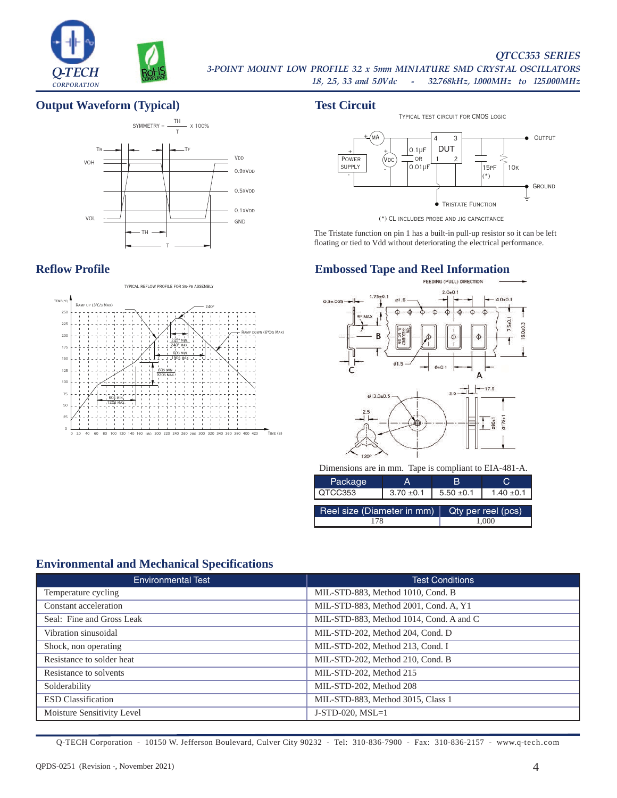

## *QTCC353 SERIES*

**2-TECH ROHS** 3-POINT MOUNT LOW PROFILE 3.2 x 5mm MINIATURE SMD CRYSTAL OSCILLATORS<br> **1.8, 2.5, 3.3 and 5.0Vdc** - 32.768kHz, 1.000MHz to 125.000MHz

## **Output Waveform (Typical) Test Circuit**



## **Reflow Profile**



## - - **OUTPUT** Ground 3 2  $\boxed{0.1 \mu F}$ 15pF 1 Tristate Function **POWER**  $\mathsf{supp}\mathsf{LY}$  | 0.01µF | 15pF | 10k .<br>мА (Vdc + + +  $\overline{t}$ or DUT Typical test circuit for CMOS logic

The Tristate function on pin 1 has a built-in pull-up resistor so it can be left floating or tied to Vdd without deteriorating the electrical performance.

# **Embossed Tape and Reel Information**



Dimensions are in mm. Tape is compliant to EIA-481-A.

| Package                                          | А              | в              |                |  |
|--------------------------------------------------|----------------|----------------|----------------|--|
| QTCC353                                          | $3.70 \pm 0.1$ | $5.50 \pm 0.1$ | $1.40 \pm 0.1$ |  |
| Reel size (Diameter in mm)<br>Qty per reel (pcs) |                |                |                |  |
| 178                                              |                |                | 1.000          |  |

# **Environmental and Mechanical Specifications**

| <b>Environmental Test</b>  | <b>Test Conditions</b>                  |
|----------------------------|-----------------------------------------|
| Temperature cycling        | MIL-STD-883, Method 1010, Cond. B       |
| Constant acceleration      | MIL-STD-883, Method 2001, Cond. A, Y1   |
| Seal: Fine and Gross Leak  | MIL-STD-883, Method 1014, Cond. A and C |
| Vibration sinusoidal       | MIL-STD-202, Method 204, Cond. D        |
| Shock, non operating       | MIL-STD-202, Method 213, Cond. I        |
| Resistance to solder heat  | MIL-STD-202, Method 210, Cond. B        |
| Resistance to solvents     | MIL-STD-202, Method 215                 |
| Solderability              | MIL-STD-202, Method 208                 |
| <b>ESD</b> Classification  | MIL-STD-883, Method 3015, Class 1       |
| Moisture Sensitivity Level | $J-STD-020$ , $MSL=1$                   |

<sup>(\*)</sup> CL includes probe and jig capacitance